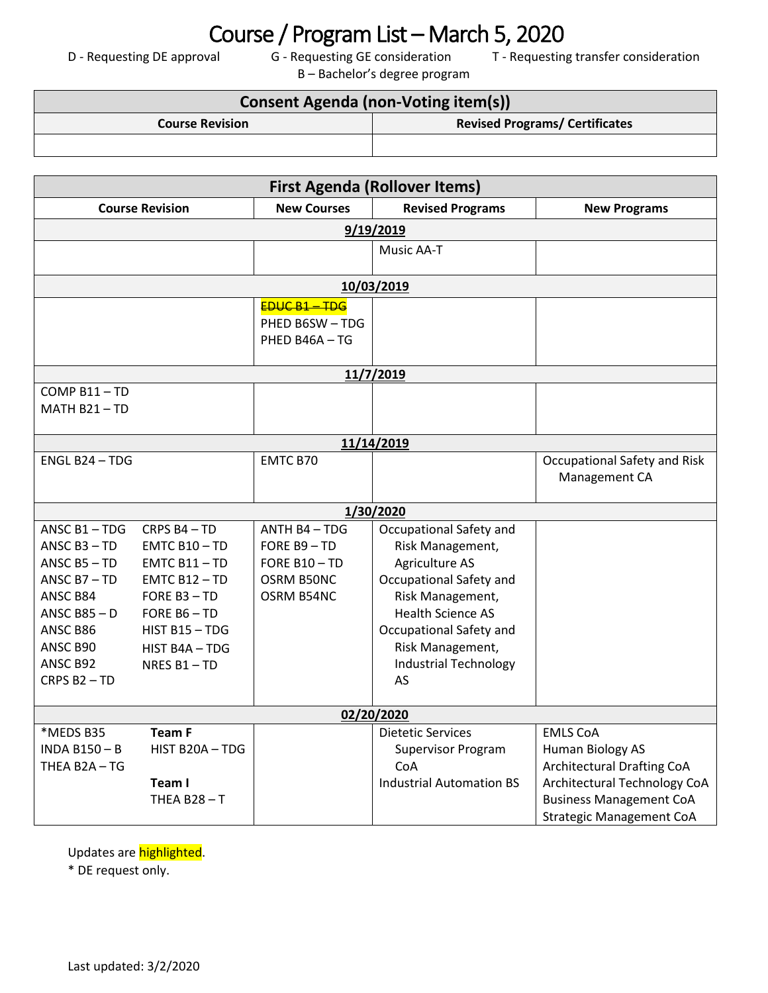## Course / Program List – March 5, 2020<br>D - Requesting DE approval G - Requesting GE consideration T - Requesting

B – Bachelor's degree program

T - Requesting transfer consideration

| <b>Consent Agenda (non-Voting item(s))</b> |                                       |  |  |
|--------------------------------------------|---------------------------------------|--|--|
| <b>Course Revision</b>                     | <b>Revised Programs/ Certificates</b> |  |  |
|                                            |                                       |  |  |

| <b>First Agenda (Rollover Items)</b> |                        |                    |                                             |                                   |  |  |
|--------------------------------------|------------------------|--------------------|---------------------------------------------|-----------------------------------|--|--|
|                                      | <b>Course Revision</b> | <b>New Courses</b> | <b>Revised Programs</b>                     | <b>New Programs</b>               |  |  |
|                                      |                        |                    | 9/19/2019                                   |                                   |  |  |
|                                      |                        |                    | Music AA-T                                  |                                   |  |  |
|                                      |                        |                    |                                             |                                   |  |  |
|                                      |                        |                    | 10/03/2019                                  |                                   |  |  |
|                                      |                        | <b>EDUC B1-TDG</b> |                                             |                                   |  |  |
|                                      |                        | PHED B6SW-TDG      |                                             |                                   |  |  |
|                                      |                        | PHED B46A - TG     |                                             |                                   |  |  |
|                                      |                        |                    | 11/7/2019                                   |                                   |  |  |
| COMP B11-TD                          |                        |                    |                                             |                                   |  |  |
| MATH B21-TD                          |                        |                    |                                             |                                   |  |  |
|                                      |                        |                    |                                             |                                   |  |  |
|                                      |                        |                    | 11/14/2019                                  |                                   |  |  |
| ENGL B24 - TDG                       |                        | EMTC B70           |                                             | Occupational Safety and Risk      |  |  |
|                                      |                        |                    |                                             | Management CA                     |  |  |
|                                      |                        |                    |                                             |                                   |  |  |
| ANSC $B1 - TDG$                      | CRPS B4-TD             | ANTH B4-TDG        | 1/30/2020                                   |                                   |  |  |
| ANSC $B3 - TD$                       | $EMTC B10 - TD$        | FORE B9-TD         | Occupational Safety and<br>Risk Management, |                                   |  |  |
| ANSC $B5 - TD$                       | $EMTC B11 - TD$        | FORE B10-TD        | Agriculture AS                              |                                   |  |  |
| ANSC $B7 - TD$                       | $EMTC B12 - TD$        | OSRM B50NC         | Occupational Safety and                     |                                   |  |  |
| ANSC B84                             | FORE B3-TD             | OSRM B54NC         | Risk Management,                            |                                   |  |  |
| ANSC $B85 - D$                       | FORE B6-TD             |                    | <b>Health Science AS</b>                    |                                   |  |  |
| ANSC B86                             | HIST B15-TDG           |                    | Occupational Safety and                     |                                   |  |  |
| ANSC B90                             | HIST B4A - TDG         |                    | Risk Management,                            |                                   |  |  |
| ANSC B92                             | NRES B1-TD             |                    | <b>Industrial Technology</b>                |                                   |  |  |
| CRPS B2-TD                           |                        |                    | AS                                          |                                   |  |  |
|                                      |                        |                    |                                             |                                   |  |  |
| 02/20/2020                           |                        |                    |                                             |                                   |  |  |
| *MEDS B35                            | <b>Team F</b>          |                    | <b>Dietetic Services</b>                    | <b>EMLS CoA</b>                   |  |  |
| <b>INDA B150-B</b>                   | HIST B20A-TDG          |                    | <b>Supervisor Program</b>                   | Human Biology AS                  |  |  |
| THEA B2A-TG                          |                        |                    | CoA                                         | <b>Architectural Drafting CoA</b> |  |  |
|                                      | Team I                 |                    | <b>Industrial Automation BS</b>             | Architectural Technology CoA      |  |  |
|                                      | THEA B28-T             |                    |                                             | <b>Business Management CoA</b>    |  |  |
|                                      |                        |                    |                                             | <b>Strategic Management CoA</b>   |  |  |

Updates are **highlighted**.

\* DE request only.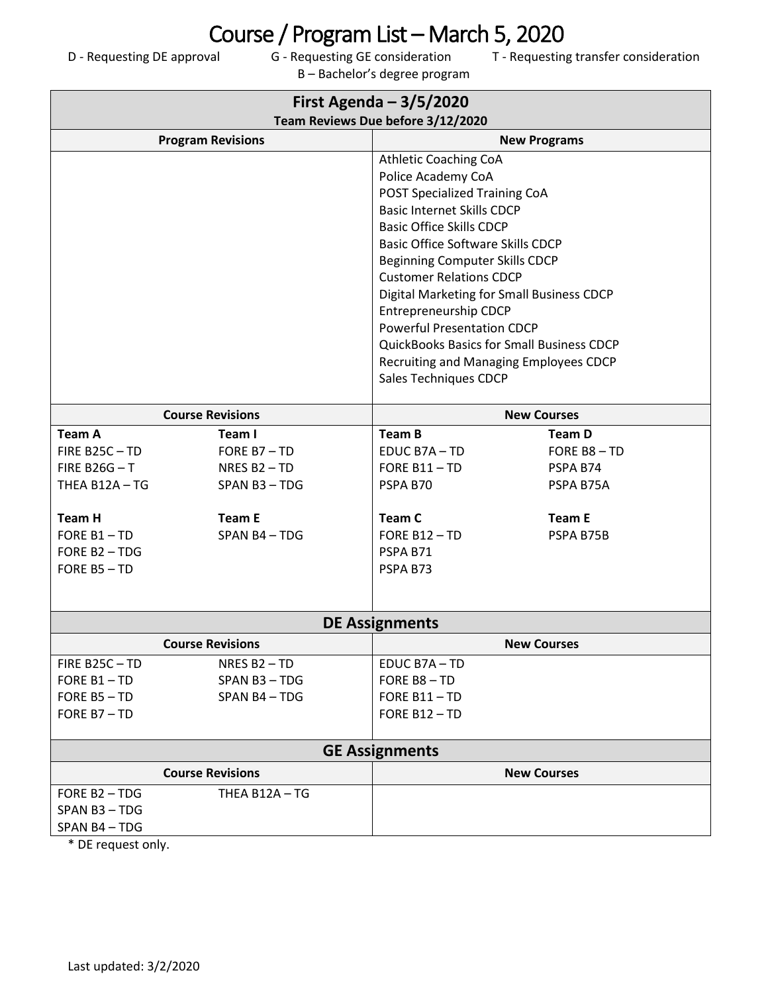B – Bachelor's degree program

T - Requesting transfer consideration

| First Agenda $-3/5/2020$<br>Team Reviews Due before 3/12/2020 |                          |                                             |                                                  |  |  |  |
|---------------------------------------------------------------|--------------------------|---------------------------------------------|--------------------------------------------------|--|--|--|
|                                                               | <b>Program Revisions</b> | <b>New Programs</b>                         |                                                  |  |  |  |
|                                                               |                          | Athletic Coaching CoA<br>Police Academy CoA |                                                  |  |  |  |
|                                                               |                          | POST Specialized Training CoA               |                                                  |  |  |  |
|                                                               |                          | <b>Basic Internet Skills CDCP</b>           |                                                  |  |  |  |
|                                                               |                          | <b>Basic Office Skills CDCP</b>             |                                                  |  |  |  |
|                                                               |                          | <b>Basic Office Software Skills CDCP</b>    |                                                  |  |  |  |
|                                                               |                          | <b>Beginning Computer Skills CDCP</b>       |                                                  |  |  |  |
|                                                               |                          | <b>Customer Relations CDCP</b>              |                                                  |  |  |  |
|                                                               |                          |                                             | Digital Marketing for Small Business CDCP        |  |  |  |
|                                                               |                          | Entrepreneurship CDCP                       |                                                  |  |  |  |
|                                                               |                          | <b>Powerful Presentation CDCP</b>           |                                                  |  |  |  |
|                                                               |                          |                                             | <b>QuickBooks Basics for Small Business CDCP</b> |  |  |  |
|                                                               |                          |                                             | Recruiting and Managing Employees CDCP           |  |  |  |
|                                                               |                          | Sales Techniques CDCP                       |                                                  |  |  |  |
|                                                               | <b>Course Revisions</b>  | <b>New Courses</b>                          |                                                  |  |  |  |
| <b>Team A</b>                                                 | Team I                   | <b>Team B</b>                               | <b>Team D</b>                                    |  |  |  |
| FIRE B25C-TD                                                  | FORE B7-TD               | EDUC B7A-TD                                 | FORE B8-TD                                       |  |  |  |
| FIRE B26G $-$ T                                               | NRES B <sub>2</sub> - TD | FORE B11-TD                                 | PSPA B74                                         |  |  |  |
| THEA B12A-TG                                                  | SPAN B3-TDG              | PSPA B70                                    | PSPA B75A                                        |  |  |  |
| <b>Team H</b>                                                 | <b>Team E</b>            | Team C                                      | <b>Team E</b>                                    |  |  |  |
| FORE B1-TD                                                    | SPAN B4-TDG              | FORE B12-TD                                 | PSPA B75B                                        |  |  |  |
| FORE B2-TDG                                                   |                          | PSPA B71                                    |                                                  |  |  |  |
| FORE B5-TD                                                    |                          | PSPA B73                                    |                                                  |  |  |  |
|                                                               |                          |                                             |                                                  |  |  |  |
| <b>DE Assignments</b>                                         |                          |                                             |                                                  |  |  |  |
|                                                               | <b>Course Revisions</b>  |                                             | <b>New Courses</b>                               |  |  |  |
| FIRE B25C-TD                                                  | NRES B <sub>2</sub> - TD | EDUC B7A-TD                                 |                                                  |  |  |  |
| FORE B1-TD                                                    | SPAN B3-TDG              | FORE B8-TD                                  |                                                  |  |  |  |
| FORE B5-TD                                                    | SPAN B4-TDG              | FORE B11-TD                                 |                                                  |  |  |  |
| FORE B7-TD                                                    |                          | FORE B12-TD                                 |                                                  |  |  |  |
| <b>GE Assignments</b>                                         |                          |                                             |                                                  |  |  |  |
|                                                               | <b>Course Revisions</b>  |                                             | <b>New Courses</b>                               |  |  |  |
| FORE B2-TDG                                                   | THEA B12A-TG             |                                             |                                                  |  |  |  |
| SPAN B3-TDG                                                   |                          |                                             |                                                  |  |  |  |
| SPAN B4-TDG                                                   |                          |                                             |                                                  |  |  |  |

\* DE request only.